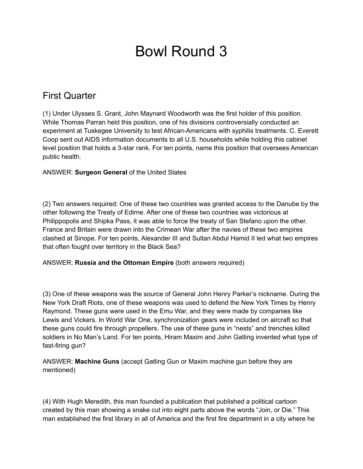# Bowl Round 3

## First Quarter

(1) Under Ulysses S. Grant, John Maynard Woodworth was the first holder of this position. While Thomas Parran held this position, one of his divisions controversially conducted an experiment at Tuskegee University to test African-Americans with syphilis treatments. C. Everett Coop sent out AIDS information documents to all U.S. households while holding this cabinet level position that holds a 3-star rank. For ten points, name this position that oversees American public health.

ANSWER: **Surgeon General** of the United States

(2) Two answers required: One of these two countries was granted access to the Danube by the other following the Treaty of Edirne. After one of these two countries was victorious at Philippopolis and Shipka Pass, it was able to force the treaty of San Stefano upon the other. France and Britain were drawn into the Crimean War after the navies of these two empires clashed at Sinope. For ten points, Alexander III and Sultan Abdul Hamid II led what two empires that often fought over territory in the Black Sea?

ANSWER: **Russia and the Ottoman Empire** (both answers required)

(3) One of these weapons was the source of General John Henry Parker's nickname. During the New York Draft Riots, one of these weapons was used to defend the New York Times by Henry Raymond. These guns were used in the Emu War, and they were made by companies like Lewis and Vickers. In World War One, synchronization gears were included on aircraft so that these guns could fire through propellers. The use of these guns in "nests" and trenches killed soldiers in No Man's Land. For ten points, Hiram Maxim and John Gatling invented what type of fast-firing gun?

ANSWER: **Machine Guns** (accept Gatling Gun or Maxim machine gun before they are mentioned)

(4) With Hugh Meredith, this man founded a publication that published a political cartoon created by this man showing a snake cut into eight parts above the words "Join, or Die." This man established the first library in all of America and the first fire department in a city where he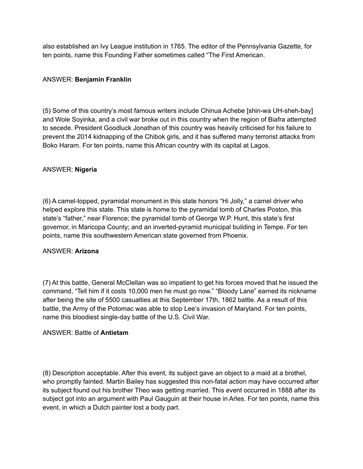also established an Ivy League institution in 1765. The editor of the Pennsylvania Gazette, for ten points, name this Founding Father sometimes called "The First American.

#### ANSWER: **Benjamin Franklin**

(5) Some of this country's most famous writers include Chinua Achebe [shin-wa UH-sheh-bay] and Wole Soyinka, and a civil war broke out in this country when the region of Biafra attempted to secede. President Goodluck Jonathan of this country was heavily criticised for his failure to prevent the 2014 kidnapping of the Chibok girls, and it has suffered many terrorist attacks from Boko Haram. For ten points, name this African country with its capital at Lagos.

#### ANSWER: **Nigeria**

(6) A camel-topped, pyramidal monument in this state honors "Hi Jolly," a camel driver who helped explore this state. This state is home to the pyramidal tomb of Charles Poston, this state's "father," near Florence; the pyramidal tomb of George W.P. Hunt, this state's first governor, in Maricopa County; and an inverted-pyramid municipal building in Tempe. For ten points, name this southwestern American state governed from Phoenix.

#### ANSWER: **Arizona**

(7) At this battle, General McClellan was so impatient to get his forces moved that he issued the command, "Tell him if it costs 10,000 men he must go now." "Bloody Lane" earned its nickname after being the site of 5500 casualties at this September 17th, 1862 battle. As a result of this battle, the Army of the Potomac was able to stop Lee's invasion of Maryland. For ten points, name this bloodiest single-day battle of the U.S. Civil War.

#### ANSWER: Battle of **Antietam**

(8) Description acceptable. After this event, its subject gave an object to a maid at a brothel, who promptly fainted. Martin Bailey has suggested this non-fatal action may have occurred after its subject found out his brother Theo was getting married. This event occurred in 1888 after its subject got into an argument with Paul Gauguin at their house in Arles. For ten points, name this event, in which a Dutch painter lost a body part.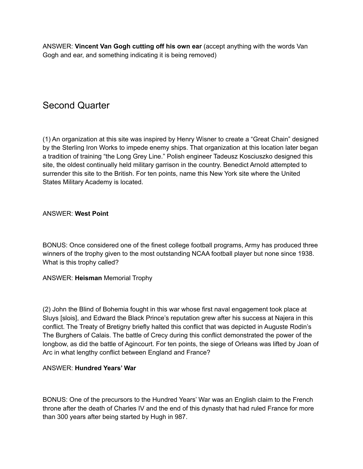ANSWER: **Vincent Van Gogh cutting off his own ear** (accept anything with the words Van Gogh and ear, and something indicating it is being removed)

## Second Quarter

(1) An organization at this site was inspired by Henry Wisner to create a "Great Chain" designed by the Sterling Iron Works to impede enemy ships. That organization at this location later began a tradition of training "the Long Grey Line." Polish engineer Tadeusz Kosciuszko designed this site, the oldest continually held military garrison in the country. Benedict Arnold attempted to surrender this site to the British. For ten points, name this New York site where the United States Military Academy is located.

ANSWER: **West Point**

BONUS: Once considered one of the finest college football programs, Army has produced three winners of the trophy given to the most outstanding NCAA football player but none since 1938. What is this trophy called?

ANSWER: **Heisman** Memorial Trophy

(2) John the Blind of Bohemia fought in this war whose first naval engagement took place at Sluys [slois], and Edward the Black Prince's reputation grew after his success at Najera in this conflict. The Treaty of Bretigny briefly halted this conflict that was depicted in Auguste Rodin's The Burghers of Calais. The battle of Crecy during this conflict demonstrated the power of the longbow, as did the battle of Agincourt. For ten points, the siege of Orleans was lifted by Joan of Arc in what lengthy conflict between England and France?

#### ANSWER: **Hundred Years' War**

BONUS: One of the precursors to the Hundred Years' War was an English claim to the French throne after the death of Charles IV and the end of this dynasty that had ruled France for more than 300 years after being started by Hugh in 987.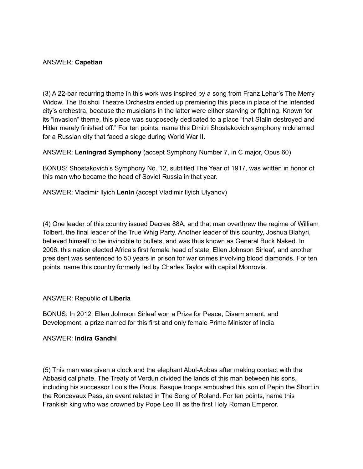#### ANSWER: **Capetian**

(3) A 22-bar recurring theme in this work was inspired by a song from Franz Lehar's The Merry Widow. The Bolshoi Theatre Orchestra ended up premiering this piece in place of the intended city's orchestra, because the musicians in the latter were either starving or fighting. Known for its "invasion" theme, this piece was supposedly dedicated to a place "that Stalin destroyed and Hitler merely finished off." For ten points, name this Dmitri Shostakovich symphony nicknamed for a Russian city that faced a siege during World War II.

ANSWER: **Leningrad Symphony** (accept Symphony Number 7, in C major, Opus 60)

BONUS: Shostakovich's Symphony No. 12, subtitled The Year of 1917, was written in honor of this man who became the head of Soviet Russia in that year.

ANSWER: Vladimir Ilyich **Lenin** (accept Vladimir Ilyich Ulyanov)

(4) One leader of this country issued Decree 88A, and that man overthrew the regime of William Tolbert, the final leader of the True Whig Party. Another leader of this country, Joshua Blahyri, believed himself to be invincible to bullets, and was thus known as General Buck Naked. In 2006, this nation elected Africa's first female head of state, Ellen Johnson Sirleaf, and another president was sentenced to 50 years in prison for war crimes involving blood diamonds. For ten points, name this country formerly led by Charles Taylor with capital Monrovia.

#### ANSWER: Republic of **Liberia**

BONUS: In 2012, Ellen Johnson Sirleaf won a Prize for Peace, Disarmament, and Development, a prize named for this first and only female Prime Minister of India

#### ANSWER: **Indira Gandhi**

(5) This man was given a clock and the elephant Abul-Abbas after making contact with the Abbasid caliphate. The Treaty of Verdun divided the lands of this man between his sons, including his successor Louis the Pious. Basque troops ambushed this son of Pepin the Short in the Roncevaux Pass, an event related in The Song of Roland. For ten points, name this Frankish king who was crowned by Pope Leo III as the first Holy Roman Emperor.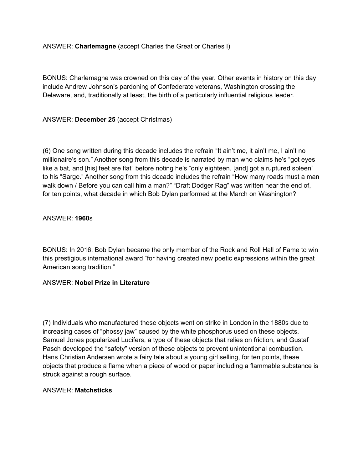ANSWER: **Charlemagne** (accept Charles the Great or Charles I)

BONUS: Charlemagne was crowned on this day of the year. Other events in history on this day include Andrew Johnson's pardoning of Confederate veterans, Washington crossing the Delaware, and, traditionally at least, the birth of a particularly influential religious leader.

#### ANSWER: **December 25** (accept Christmas)

(6) One song written during this decade includes the refrain "It ain't me, it ain't me, I ain't no millionaire's son." Another song from this decade is narrated by man who claims he's "got eyes like a bat, and [his] feet are flat" before noting he's "only eighteen, [and] got a ruptured spleen" to his "Sarge." Another song from this decade includes the refrain "How many roads must a man walk down / Before you can call him a man?" "Draft Dodger Rag" was written near the end of, for ten points, what decade in which Bob Dylan performed at the March on Washington?

#### ANSWER: **1960**s

BONUS: In 2016, Bob Dylan became the only member of the Rock and Roll Hall of Fame to win this prestigious international award "for having created new poetic expressions within the great American song tradition."

#### ANSWER: **Nobel Prize in Literature**

(7) Individuals who manufactured these objects went on strike in London in the 1880s due to increasing cases of "phossy jaw" caused by the white phosphorus used on these objects. Samuel Jones popularized Lucifers, a type of these objects that relies on friction, and Gustaf Pasch developed the "safety" version of these objects to prevent unintentional combustion. Hans Christian Andersen wrote a fairy tale about a young girl selling, for ten points, these objects that produce a flame when a piece of wood or paper including a flammable substance is struck against a rough surface.

#### ANSWER: **Matchsticks**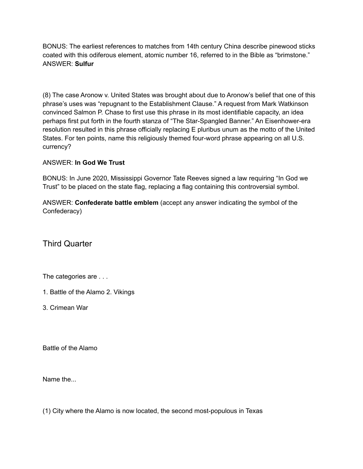BONUS: The earliest references to matches from 14th century China describe pinewood sticks coated with this odiferous element, atomic number 16, referred to in the Bible as "brimstone." ANSWER: **Sulfur**

(8) The case Aronow v. United States was brought about due to Aronow's belief that one of this phrase's uses was "repugnant to the Establishment Clause." A request from Mark Watkinson convinced Salmon P. Chase to first use this phrase in its most identifiable capacity, an idea perhaps first put forth in the fourth stanza of "The Star-Spangled Banner." An Eisenhower-era resolution resulted in this phrase officially replacing E pluribus unum as the motto of the United States. For ten points, name this religiously themed four-word phrase appearing on all U.S. currency?

#### ANSWER: **In God We Trust**

BONUS: In June 2020, Mississippi Governor Tate Reeves signed a law requiring "In God we Trust" to be placed on the state flag, replacing a flag containing this controversial symbol.

ANSWER: **Confederate battle emblem** (accept any answer indicating the symbol of the Confederacy)

Third Quarter

The categories are . . .

- 1. Battle of the Alamo 2. Vikings
- 3. Crimean War

Battle of the Alamo

Name the

(1) City where the Alamo is now located, the second most-populous in Texas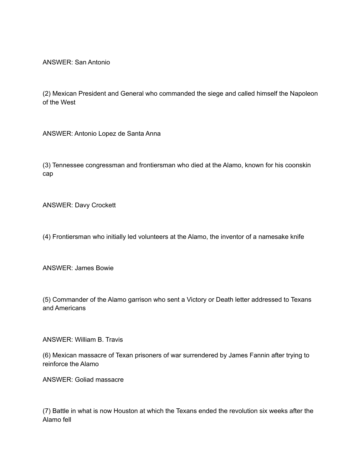ANSWER: San Antonio

(2) Mexican President and General who commanded the siege and called himself the Napoleon of the West

ANSWER: Antonio Lopez de Santa Anna

(3) Tennessee congressman and frontiersman who died at the Alamo, known for his coonskin cap

ANSWER: Davy Crockett

(4) Frontiersman who initially led volunteers at the Alamo, the inventor of a namesake knife

ANSWER: James Bowie

(5) Commander of the Alamo garrison who sent a Victory or Death letter addressed to Texans and Americans

ANSWER: William B. Travis

(6) Mexican massacre of Texan prisoners of war surrendered by James Fannin after trying to reinforce the Alamo

ANSWER: Goliad massacre

(7) Battle in what is now Houston at which the Texans ended the revolution six weeks after the Alamo fell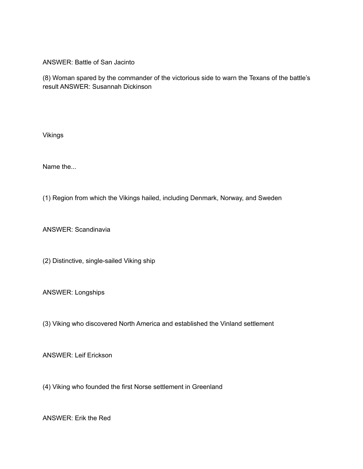ANSWER: Battle of San Jacinto

(8) Woman spared by the commander of the victorious side to warn the Texans of the battle's result ANSWER: Susannah Dickinson

Vikings

Name the...

(1) Region from which the Vikings hailed, including Denmark, Norway, and Sweden

ANSWER: Scandinavia

(2) Distinctive, single-sailed Viking ship

ANSWER: Longships

(3) Viking who discovered North America and established the Vinland settlement

ANSWER: Leif Erickson

(4) Viking who founded the first Norse settlement in Greenland

ANSWER: Erik the Red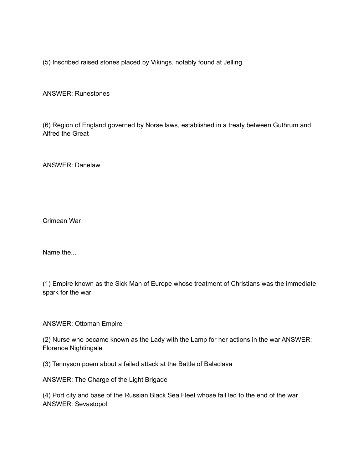(5) Inscribed raised stones placed by Vikings, notably found at Jelling

ANSWER: Runestones

(6) Region of England governed by Norse laws, established in a treaty between Guthrum and Alfred the Great

ANSWER: Danelaw

Crimean War

Name the

(1) Empire known as the Sick Man of Europe whose treatment of Christians was the immediate spark for the war

ANSWER: Ottoman Empire

(2) Nurse who became known as the Lady with the Lamp for her actions in the war ANSWER: Florence Nightingale

(3) Tennyson poem about a failed attack at the Battle of Balaclava

ANSWER: The Charge of the Light Brigade

(4) Port city and base of the Russian Black Sea Fleet whose fall led to the end of the war ANSWER: Sevastopol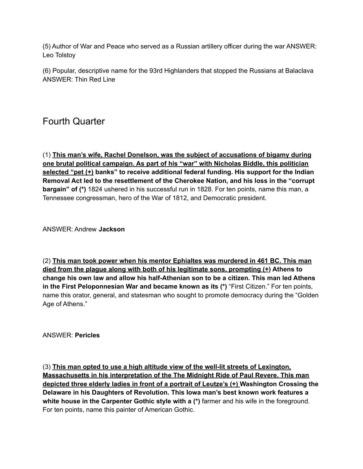(5) Author of War and Peace who served as a Russian artillery officer during the war ANSWER: Leo Tolstoy

(6) Popular, descriptive name for the 93rd Highlanders that stopped the Russians at Balaclava ANSWER: Thin Red Line

## Fourth Quarter

(1) **This man's wife, Rachel Donelson, was the subject of accusations of bigamy during one brutal political campaign. As part of his "war" with Nicholas Biddle, this politician selected "pet (+) banks" to receive additional federal funding. His support for the Indian Removal Act led to the resettlement of the Cherokee Nation, and his loss in the "corrupt bargain" of (\*)** 1824 ushered in his successful run in 1828. For ten points, name this man, a Tennessee congressman, hero of the War of 1812, and Democratic president.

ANSWER: Andrew **Jackson**

(2) **This man took power when his mentor Ephialtes was murdered in 461 BC. This man died from the plague along with both of his legitimate sons, prompting (+) Athens to change his own law and allow his half-Athenian son to be a citizen. This man led Athens in the First Peloponnesian War and became known as its (\*)** "First Citizen." For ten points, name this orator, general, and statesman who sought to promote democracy during the "Golden Age of Athens."

ANSWER: **Pericles**

(3) **This man opted to use a high altitude view of the well-lit streets of Lexington, Massachusetts in his interpretation of the The Midnight Ride of Paul Revere. This man depicted three elderly ladies in front of a portrait of Leutze's (+) Washington Crossing the Delaware in his Daughters of Revolution. This Iowa man's best known work features a white house in the Carpenter Gothic style with a (\*)** farmer and his wife in the foreground. For ten points, name this painter of American Gothic.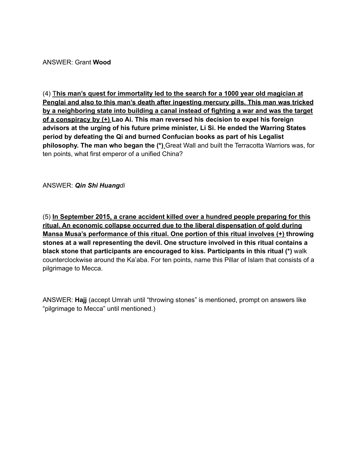ANSWER: Grant **Wood**

(4) T**his man's quest for immortality led to the search for a 1000 year old magician at Penglai and also to this man's death after ingesting mercury pills. This man was tricked by a neighboring state into building a canal instead of fighting a war and was the target of a conspiracy by (+) Lao Ai. This man reversed his decision to expel his foreign advisors at the urging of his future prime minister, Li Si. He ended the Warring States period by defeating the Qi and burned Confucian books as part of his Legalist philosophy. The man who began the (\*)** Great Wall and built the Terracotta Warriors was, for ten points, what first emperor of a unified China?

ANSWER: *Qin Shi Huangdi*

(5) **In September 2015, a crane accident killed over a hundred people preparing for this ritual. An economic collapse occurred due to the liberal dispensation of gold during Mansa Musa's performance of this ritual. One portion of this ritual involves (+) throwing stones at a wall representing the devil. One structure involved in this ritual contains a black stone that participants are encouraged to kiss. Participants in this ritual (\*)** walk counterclockwise around the Ka'aba. For ten points, name this Pillar of Islam that consists of a pilgrimage to Mecca.

ANSWER: **Hajj** (accept Umrah until "throwing stones" is mentioned, prompt on answers like "pilgrimage to Mecca" until mentioned.)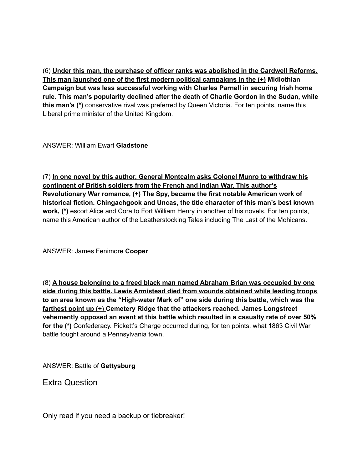(6) **Under this man, the purchase of officer ranks was abolished in the Cardwell Reforms. This man launched one of the first modern political campaigns in the (+) Midlothian Campaign but was less successful working with Charles Parnell in securing Irish home rule. This man's popularity declined after the death of Charlie Gordon in the Sudan, while this man's (\*)** conservative rival was preferred by Queen Victoria. For ten points, name this Liberal prime minister of the United Kingdom.

ANSWER: William Ewart **Gladstone**

(7) **In one novel by this author, General Montcalm asks Colonel Munro to withdraw his contingent of British soldiers from the French and Indian War. This author's Revolutionary War romance, (+) The Spy, became the first notable American work of historical fiction. Chingachgook and Uncas, the title character of this man's best known work, (\*)** escort Alice and Cora to Fort William Henry in another of his novels. For ten points, name this American author of the Leatherstocking Tales including The Last of the Mohicans.

ANSWER: James Fenimore **Cooper**

(8) **A house belonging to a freed black man named Abraham Brian was occupied by one side during this battle. Lewis Armistead died from wounds obtained while leading troops to an area known as the "High-water Mark of" one side during this battle, which was the farthest point up (+**) **Cemetery Ridge that the attackers reached. James Longstreet vehemently opposed an event at this battle which resulted in a casualty rate of over 50% for the (\*)** Confederacy. Pickett's Charge occurred during, for ten points, what 1863 Civil War battle fought around a Pennsylvania town.

ANSWER: Battle of **Gettysburg**

Extra Question

Only read if you need a backup or tiebreaker!